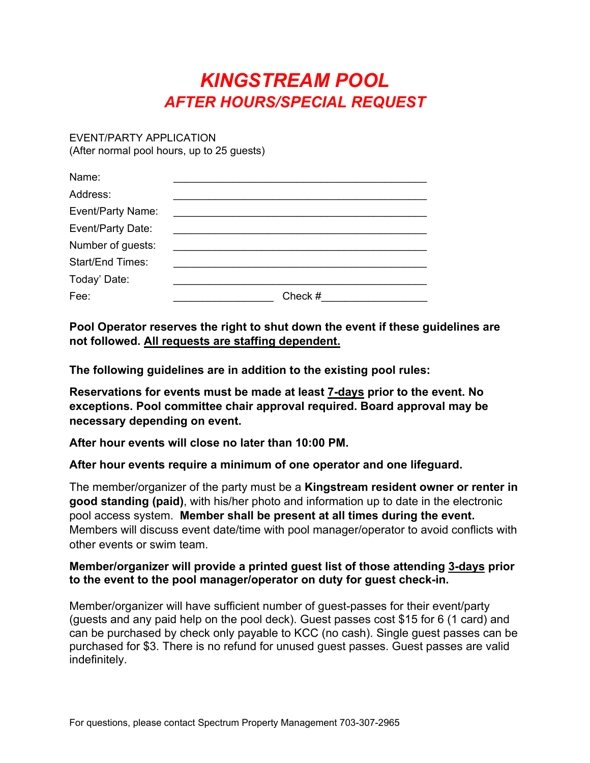## *KINGSTREAM POOL AFTER HOURS/SPECIAL REQUEST*

EVENT/PARTY APPLICATION (After normal pool hours, up to 25 guests)

| Name:             |         |
|-------------------|---------|
| Address:          |         |
| Event/Party Name: |         |
| Event/Party Date: |         |
| Number of guests: |         |
| Start/End Times:  |         |
| Today' Date:      |         |
| Fee:              | Check # |

**Pool Operator reserves the right to shut down the event if these guidelines are not followed. All requests are staffing dependent.** 

**The following guidelines are in addition to the existing pool rules:** 

**Reservations for events must be made at least 7-days prior to the event. No exceptions. Pool committee chair approval required. Board approval may be necessary depending on event.** 

**After hour events will close no later than 10:00 PM.** 

**After hour events require a minimum of one operator and one lifeguard.** 

The member/organizer of the party must be a **Kingstream resident owner or renter in good standing (paid)**, with his/her photo and information up to date in the electronic pool access system. **Member shall be present at all times during the event.** Members will discuss event date/time with pool manager/operator to avoid conflicts with other events or swim team.

## **Member/organizer will provide a printed guest list of those attending 3-days prior to the event to the pool manager/operator on duty for guest check-in.**

Member/organizer will have sufficient number of guest-passes for their event/party (guests and any paid help on the pool deck). Guest passes cost \$15 for 6 (1 card) and can be purchased by check only payable to KCC (no cash). Single guest passes can be purchased for \$3. There is no refund for unused guest passes. Guest passes are valid indefinitely.